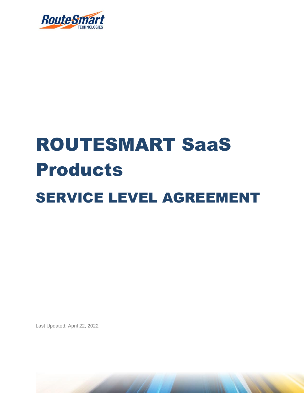

## ROUTESMART SaaS Products SERVICE LEVEL AGREEMENT

Last Updated: April 22, 2022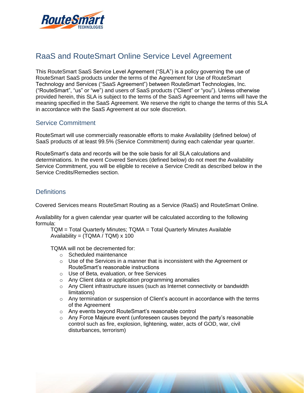

## RaaS and RouteSmart Online Service Level Agreement

This RouteSmart SaaS Service Level Agreement ("SLA") is a policy governing the use of RouteSmart SaaS products under the terms of the Agreement for Use of RouteSmart Technology and Services ("SaaS Agreement") between RouteSmart Technologies, Inc. ("RouteSmart", "us" or "we") and users of SaaS products ("Client" or "you"). Unless otherwise provided herein, this SLA is subject to the terms of the SaaS Agreement and terms will have the meaning specified in the SaaS Agreement. We reserve the right to change the terms of this SLA in accordance with the SaaS Agreement at our sole discretion.

## Service Commitment

RouteSmart will use commercially reasonable efforts to make Availability (defined below) of SaaS products of at least 99.5% (Service Commitment) during each calendar year quarter.

RouteSmart's data and records will be the sole basis for all SLA calculations and determinations. In the event Covered Services (defined below) do not meet the Availability Service Commitment, you will be eligible to receive a Service Credit as described below in the Service Credits/Remedies section.

## **Definitions**

Covered Services means RouteSmart Routing as a Service (RaaS) and RouteSmart Online.

Availability for a given calendar year quarter will be calculated according to the following formula:

TQM = Total Quarterly Minutes; TQMA = Total Quarterly Minutes Available Availability = (TQMA / TQM) x 100

TQMA will not be decremented for:

- o Scheduled maintenance
- $\circ$  Use of the Services in a manner that is inconsistent with the Agreement or RouteSmart's reasonable instructions
- o Use of Beta, evaluation, or free Services
- o Any Client data or application programming anomalies
- $\circ$  Any Client infrastructure issues (such as Internet connectivity or bandwidth limitations)
- $\circ$  Any termination or suspension of Client's account in accordance with the terms of the Agreement
- o Any events beyond RouteSmart's reasonable control
- $\circ$  Any Force Majeure event (unforeseen causes beyond the party's reasonable control such as fire, explosion, lightening, water, acts of GOD, war, civil disturbances, terrorism)